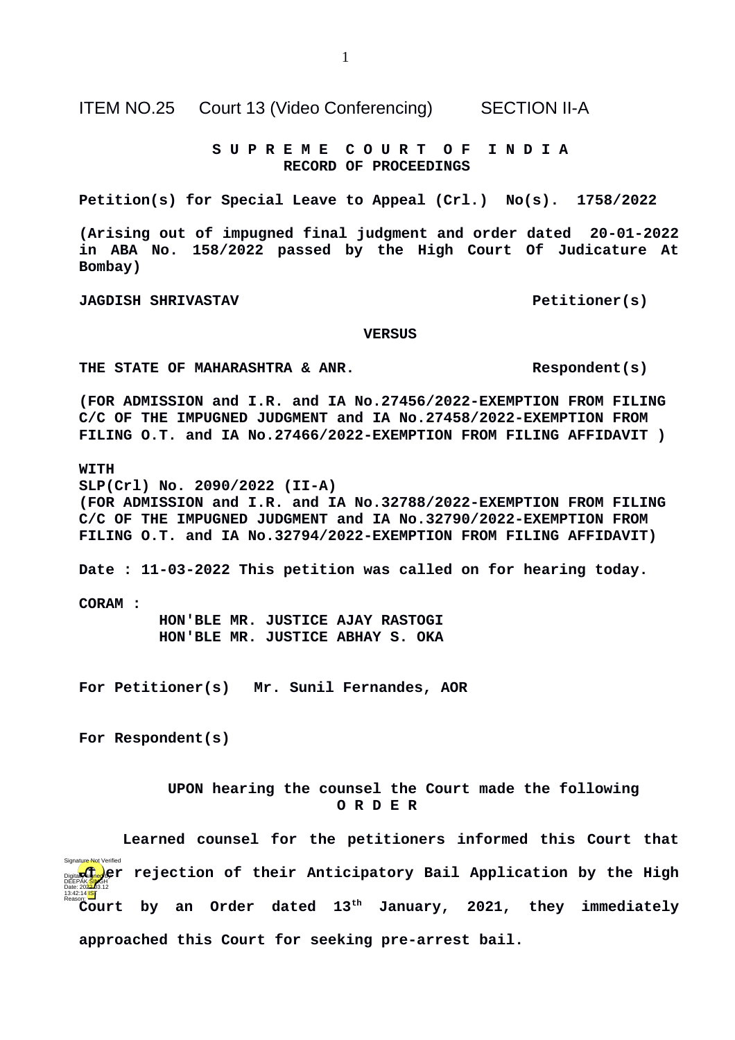ITEM NO.25 Court 13 (Video Conferencing) SECTION II-A

 **S U P R E M E C O U R T O F I N D I A RECORD OF PROCEEDINGS**

**Petition(s) for Special Leave to Appeal (Crl.) No(s). 1758/2022**

**(Arising out of impugned final judgment and order dated 20-01-2022 in ABA No. 158/2022 passed by the High Court Of Judicature At Bombay)**

**JAGDISH SHRIVASTAV Petitioner(s)** 

 **VERSUS**

**THE STATE OF MAHARASHTRA & ANR. Respondent(s)**

**(FOR ADMISSION and I.R. and IA No.27456/2022-EXEMPTION FROM FILING C/C OF THE IMPUGNED JUDGMENT and IA No.27458/2022-EXEMPTION FROM FILING O.T. and IA No.27466/2022-EXEMPTION FROM FILING AFFIDAVIT )**

**WITH**

**SLP(Crl) No. 2090/2022 (II-A) (FOR ADMISSION and I.R. and IA No.32788/2022-EXEMPTION FROM FILING C/C OF THE IMPUGNED JUDGMENT and IA No.32790/2022-EXEMPTION FROM FILING O.T. and IA No.32794/2022-EXEMPTION FROM FILING AFFIDAVIT)**

**Date : 11-03-2022 This petition was called on for hearing today.**

**CORAM :** 

 **HON'BLE MR. JUSTICE AJAY RASTOGI HON'BLE MR. JUSTICE ABHAY S. OKA**

**For Petitioner(s) Mr. Sunil Fernandes, AOR**

**For Respondent(s)**

 **UPON hearing the counsel the Court made the following O R D E R**

**Learned counsel for the petitioners informed this Court that and a** fight rejection of their Anticipatory Bail Application by the High **Court by an Order dated 13<sup>th</sup> January, 2021, they immediately approached this Court for seeking pre-arrest bail.**  DEEPAK/<mark>SIN</mark>GH<br>Date: 202<del>2.</del>03.12 13:42:14<sup>TST</sup> re Not Verified